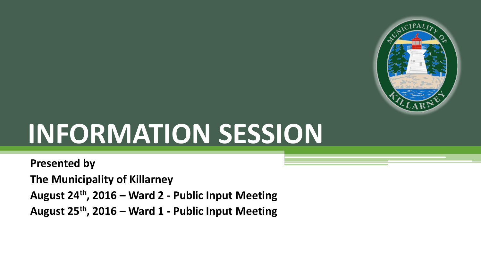

# **INFORMATION SESSION**

**Presented by** 

**The Municipality of Killarney** 

**August 24th, 2016 – Ward 2 - Public Input Meeting** 

**August 25th, 2016 – Ward 1 - Public Input Meeting**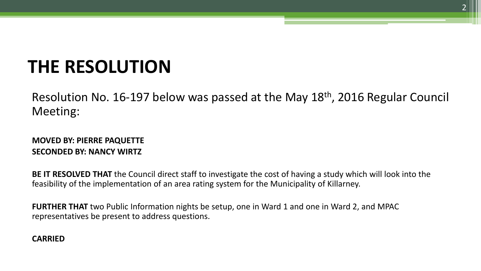# **THE RESOLUTION**

Resolution No. 16-197 below was passed at the May 18th, 2016 Regular Council Meeting:

#### **MOVED BY: PIERRE PAQUETTE SECONDED BY: NANCY WIRTZ**

**BE IT RESOLVED THAT** the Council direct staff to investigate the cost of having a study which will look into the feasibility of the implementation of an area rating system for the Municipality of Killarney.

**FURTHER THAT** two Public Information nights be setup, one in Ward 1 and one in Ward 2, and MPAC representatives be present to address questions.

#### **CARRIED**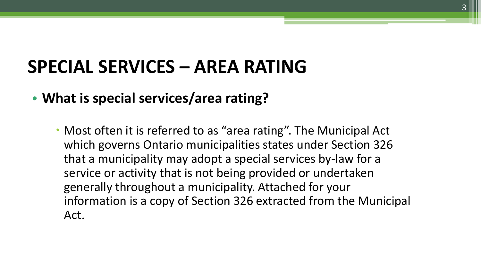### **SPECIAL SERVICES – AREA RATING**

#### • **What is special services/area rating?**

• Most often it is referred to as "area rating". The Municipal Act which governs Ontario municipalities states under Section 326 that a municipality may adopt a special services by-law for a service or activity that is not being provided or undertaken generally throughout a municipality. Attached for your information is a copy of Section 326 extracted from the Municipal Act.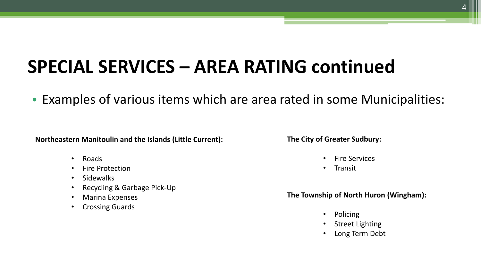• Examples of various items which are area rated in some Municipalities:

**Northeastern Manitoulin and the Islands (Little Current):** 

- Roads
- Fire Protection
- Sidewalks
- Recycling & Garbage Pick-Up
- Marina Expenses
- Crossing Guards

**The City of Greater Sudbury:** 

- Fire Services
- Transit

#### **The Township of North Huron (Wingham):**

- Policing
- Street Lighting
- Long Term Debt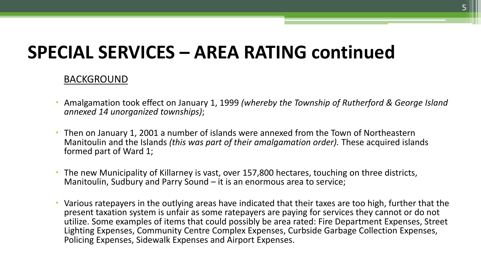#### BACKGROUND

- Amalgamation took effect on January 1, 1999 *(whereby the Township of Rutherford & George Island*   $\bullet$ *annexed 14 unorganized townships)*;
- Manitoulin and the Islands *(this was part of their amalgamation order).* These acquired islands Then on January 1, 2001 a number of islands were annexed from the Town of Northeastern formed part of Ward 1;
- The new Municipality of Killarney is vast, over 157,800 hectares, touching on three districts, Manitoulin, Sudbury and Parry Sound – it is an enormous area to service;
- Various ratepayers in the outlying areas have indicated that their taxes are too high, further that the Lighting Expenses, Community Centre Complex Expenses, Curbside Garbage Collection Expenses,  $\ddot{\phantom{0}}$ present taxation system is unfair as some ratepayers are paying for services they cannot or do not utilize. Some examples of items that could possibly be area rated: Fire Department Expenses, Street Policing Expenses, Sidewalk Expenses and Airport Expenses.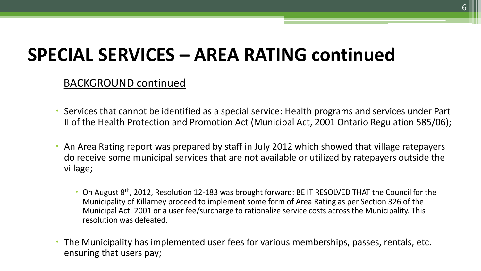BACKGROUND continued

- Services that cannot be identified as a special service: Health programs and services under Part II of the Health Protection and Promotion Act (Municipal Act, 2001 Ontario Regulation 585/06);
- An Area Rating report was prepared by staff in July 2012 which showed that village ratepayers do receive some municipal services that are not available or utilized by ratepayers outside the village;
	- $\cdot$  On August 8<sup>th</sup>, 2012, Resolution 12-183 was brought forward: BE IT RESOLVED THAT the Council for the Municipality of Killarney proceed to implement some form of Area Rating as per Section 326 of the Municipal Act, 2001 or a user fee/surcharge to rationalize service costs across the Municipality. This resolution was defeated.
- The Municipality has implemented user fees for various memberships, passes, rentals, etc. ensuring that users pay;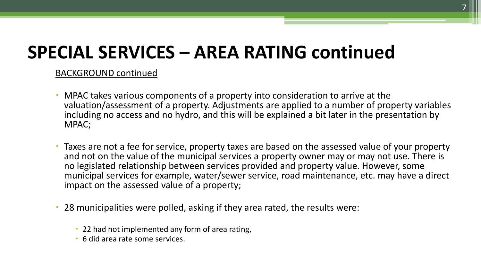#### BACKGROUND continued

- including no access and no hydro, and this will be explained a bit later in the presentation by  $\bullet$ MPAC takes various components of a property into consideration to arrive at the valuation/assessment of a property. Adjustments are applied to a number of property variables MPAC;
- and not on the value of the municipal services a property owner may or may not use. There is Taxes are not a fee for service, property taxes are based on the assessed value of your property no legislated relationship between services provided and property value. However, some municipal services for example, water/sewer service, road maintenance, etc. may have a direct impact on the assessed value of a property;
- 28 municipalities were polled, asking if they area rated, the results were:
	- 22 had not implemented any form of area rating,
	- 6 did area rate some services.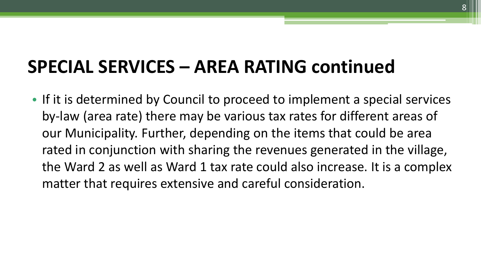• If it is determined by Council to proceed to implement a special services by-law (area rate) there may be various tax rates for different areas of our Municipality. Further, depending on the items that could be area rated in conjunction with sharing the revenues generated in the village, the Ward 2 as well as Ward 1 tax rate could also increase. It is a complex matter that requires extensive and careful consideration.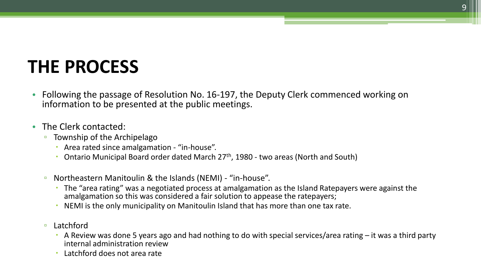## **THE PROCESS**

- Following the passage of Resolution No. 16-197, the Deputy Clerk commenced working on i nformation to be presented at the public meetings.
- The Clerk contacted:
	- <sup>o</sup> Township of the Archipelago
		- Area rated since amalgamation "in-house".
		- $\ddot{\phantom{0}}$ Ontario Municipal Board order dated March 27<sup>th</sup>, 1980 - two areas (North and South)
	- Northeastern Manitoulin & the Islands (NEMI) "in-house".
		- The "area rating" was a negotiated process at amalgamation as the Island Ratepayers were against the amalgamation so this was considered a fair solution to appease the ratepayers;
		- NEMI is the only municipality on Manitoulin Island that has more than one tax rate.  $\ddot{\phantom{0}}$
	- Latchford
		- A Review was done 5 years ago and had nothing to do with special services/area rating it was a third party internal administration review
		- Latchford does not area rate  $\ddot{\phantom{0}}$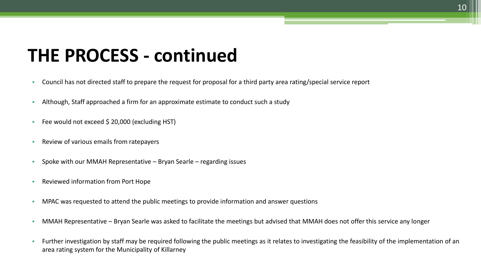#### **THE PROCESS - continued**

- Council has not directed staff to prepare the request for proposal for a third party area rating/special service report •
- Although, Staff approached a firm for an approximate estimate to conduct such a study •
- Fee would not exceed \$ 20,000 (excluding HST) •
- $\bullet$ Review of various emails from ratepayers
- • Spoke with our MMAH Representative – Bryan Searle – regarding issues
- • Reviewed information from Port Hope
- MPAC was requested to attend the public meetings to provide information and answer questions •
- • MMAH Representative – Bryan Searle was asked to facilitate the meetings but advised that MMAH does not offer this service any longer
- Further investigation by staff may be required following the public meetings as it relates to investigating the feasibility of the implementation of an area rating system for the Municipality of Killarney •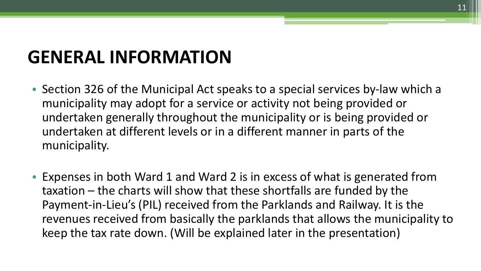# **GENERAL INFORMATION**

- undertaken generally throughout the municipality or is being provided or • Section 326 of the Municipal Act speaks to a special services by-law which a municipality may adopt for a service or activity not being provided or undertaken at different levels or in a different manner in parts of the municipality.
- keep the tax rate down. (Will be explained later in the presentation) • Expenses in both Ward 1 and Ward 2 is in excess of what is generated from taxation – the charts will show that these shortfalls are funded by the Payment-in-Lieu's (PIL) received from the Parklands and Railway. It is the revenues received from basically the parklands that allows the municipality to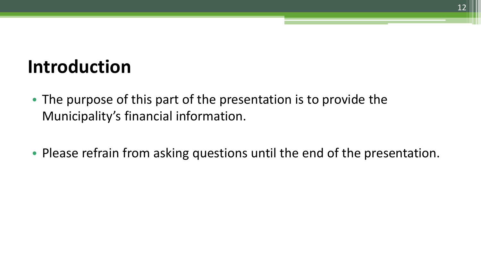### **Introduction**

- The purpose of this part of the presentation is to provide the Municipality's financial information.
- Please refrain from asking questions until the end of the presentation.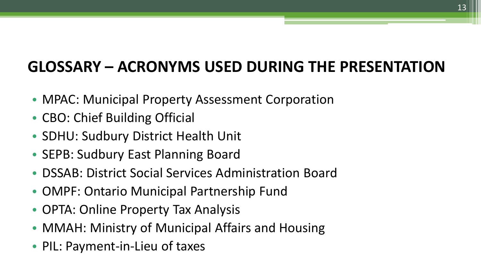#### **GLOSSARY – ACRONYMS USED DURING THE PRESENTATION**

- MPAC: Municipal Property Assessment Corporation
- CBO: Chief Building Official
- SDHU: Sudbury District Health Unit
- SEPB: Sudbury East Planning Board
- DSSAB: District Social Services Administration Board
- OMPF: Ontario Municipal Partnership Fund
- OPTA: Online Property Tax Analysis
- MMAH: Ministry of Municipal Affairs and Housing
- PIL: Payment-in-Lieu of taxes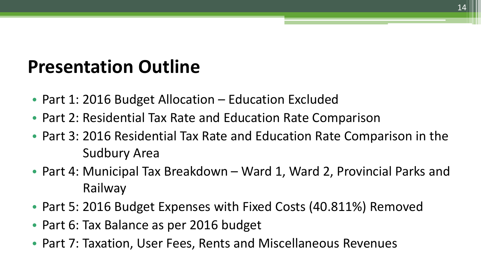#### **Presentation Outline**

- Part 1: 2016 Budget Allocation Education Excluded
- Part 2: Residential Tax Rate and Education Rate Comparison
- • Part 3: 2016 Residential Tax Rate and Education Rate Comparison in the Sudbury Area
- Part 4: Municipal Tax Breakdown Ward 1, Ward 2, Provincial Parks and Railway
- Part 5: 2016 Budget Expenses with Fixed Costs (40.811%) Removed
- Part 6: Tax Balance as per 2016 budget
- Part 7: Taxation, User Fees, Rents and Miscellaneous Revenues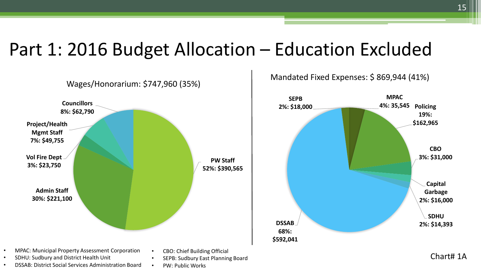#### Part 1: 2016 Budget Allocation – Education Excluded



• • •



**68%: \$592,041** 

**2%: \$16,000 SDHU DSSAB 2%: \$14,393** 

Chart# 1A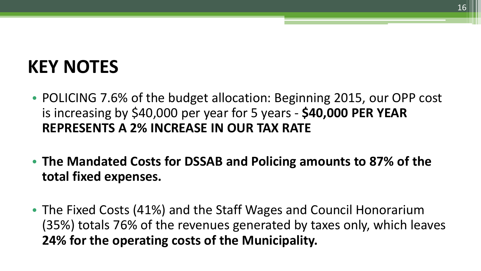# **KEY NOTES**

- POLICING 7.6% of the budget allocation: Beginning 2015, our OPP cost is increasing by \$40,000 per year for 5 years - **\$40,000 PER YEAR REPRESENTS A 2% INCREASE IN OUR TAX RATE**
- **The Mandated Costs for DSSAB and Policing amounts to 87% of the total fixed expenses.**
- The Fixed Costs (41%) and the Staff Wages and Council Honorarium (35%) totals 76% of the revenues generated by taxes only, which leaves **24% for the operating costs of the Municipality.**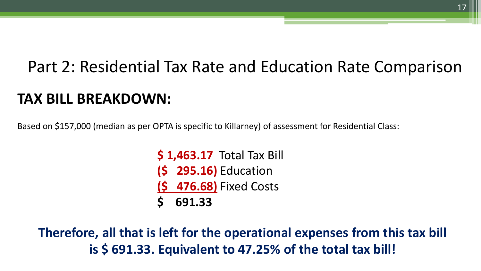# Part 2: Residential Tax Rate and Education Rate Comparison **TAX BILL BREAKDOWN:**

Based on \$157,000 (median as per OPTA is specific to Killarney) of assessment for Residential Class:

**\$ 1,463.17** Total Tax Bill **(\$ 295.16)** Education **(\$ 476.68)** Fixed Costs **\$ 691.33** 

**Therefore, all that is left for the operational expenses from this tax bill is \$ 691.33. Equivalent to 47.25% of the total tax bill!**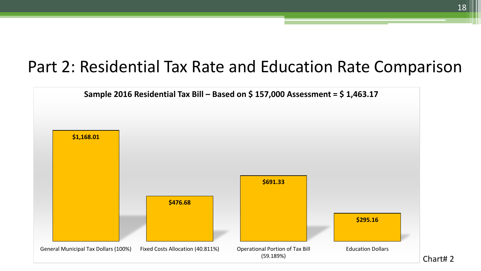#### Part 2: Residential Tax Rate and Education Rate Comparison



Chart# 2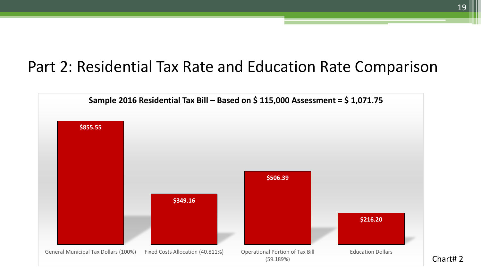#### Part 2: Residential Tax Rate and Education Rate Comparison



Chart# 2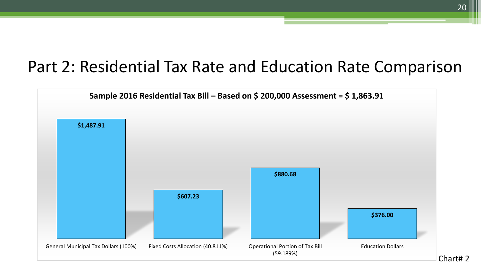#### Part 2: Residential Tax Rate and Education Rate Comparison

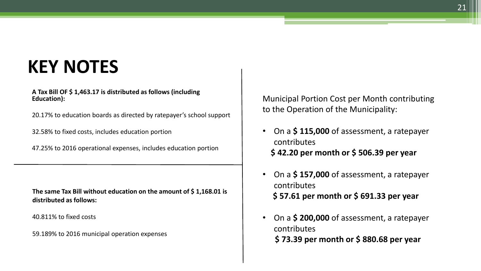### **KEY NOTES**

 **A Tax Bill OF \$ 1,463.17 is distributed as follows (including Education):**

20.17% to education boards as directed by ratepayer's school support

32.58% to fixed costs, includes education portion

47.25% to 2016 operational expenses, includes education portion

 **The same Tax Bill without education on the amount of \$ 1,168.01 is distributed as follows:** 

40.811% to fixed costs

59.189% to 2016 municipal operation expenses

Municipal Portion Cost per Month contributing to the Operation of the Municipality:

- On a \$115,000 of assessment, a ratepayer contributes **\$ 42.20 per month or \$ 506.39 per year**
- On a \$157,000 of assessment, a ratepayer contributes **\$ 57.61 per month or \$ 691.33 per year**
- On a \$200,000 of assessment, a ratepayer contributes **\$ 73.39 per month or \$ 880.68 per year**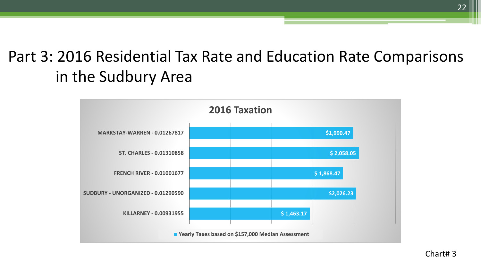#### Part 3: 2016 Residential Tax Rate and Education Rate Comparisons in the Sudbury Area

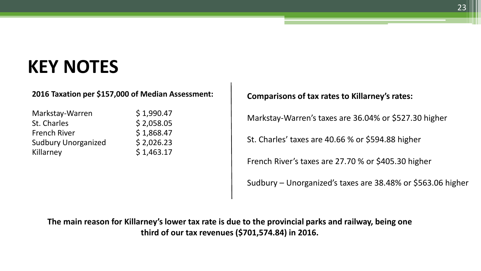### **KEY NOTES**

#### **2016 Taxation per \$157,000 of Median Assessment:**

| \$1,990.47 |
|------------|
| \$2,058.05 |
| \$1,868.47 |
| \$2,026.23 |
| \$1,463.17 |
|            |

#### **Comparisons of tax rates to Killarney's rates:**

Markstay-Warren's taxes are 36.04% or \$527.30 higher

St. Charles' taxes are 40.66 % or \$594.88 higher

French River's taxes are 27.70 % or \$405.30 higher

Sudbury – Unorganized's taxes are 38.48% or \$563.06 higher

**The main reason for Killarney's lower tax rate is due to the provincial parks and railway, being one third of our tax revenues (\$701,574.84) in 2016.**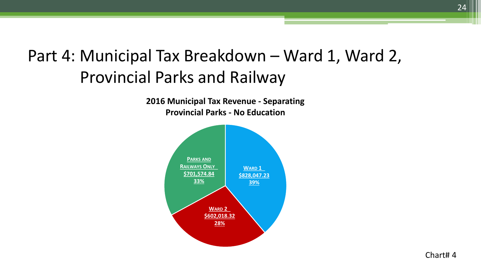#### Part 4: Municipal Tax Breakdown – Ward 1, Ward 2, Provincial Parks and Railway

**2016 Municipal Tax Revenue - Separating Provincial Parks - No Education** 



24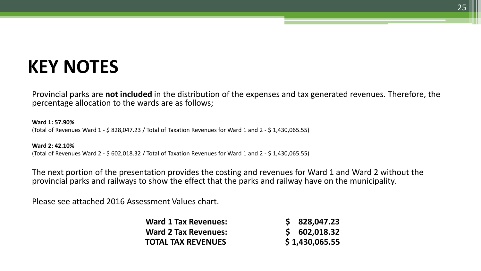### **KEY NOTES**

 Provincial parks are **not included** in the distribution of the expenses and tax generated revenues. Therefore, the percentage allocation to the wards are as follows;

 **Ward 1: 57.90%**  (Total of Revenues Ward 1 - \$ 828,047.23 / Total of Taxation Revenues for Ward 1 and 2 - \$ 1,430,065.55)

 (Total of Revenues Ward 2 - \$ 602,018.32 / Total of Taxation Revenues for Ward 1 and 2 - \$ 1,430,065.55) **Ward 2: 42.10%** 

 The next portion of the presentation provides the costing and revenues for Ward 1 and Ward 2 without the provincial parks and railways to show the effect that the parks and railway have on the municipality.

Please see attached 2016 Assessment Values chart.

| <b>Ward 1 Tax Revenues:</b> | \$828,047.23   |
|-----------------------------|----------------|
| <b>Ward 2 Tax Revenues:</b> | \$602,018.32   |
| <b>TOTAL TAX REVENUES</b>   | \$1,430,065.55 |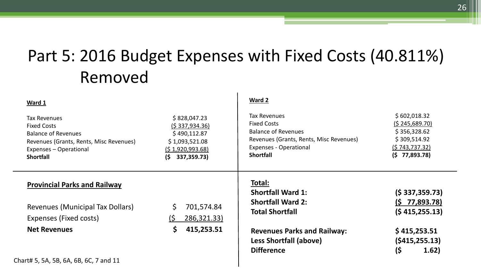#### Part 5: 2016 Budget Expenses with Fixed Costs (40.811%) Removed

| Ward 1                                                                                                                                                           |                                                                                                                   | Ward 2                                                                                                                                                                  |                                                                                                          |
|------------------------------------------------------------------------------------------------------------------------------------------------------------------|-------------------------------------------------------------------------------------------------------------------|-------------------------------------------------------------------------------------------------------------------------------------------------------------------------|----------------------------------------------------------------------------------------------------------|
| <b>Tax Revenues</b><br><b>Fixed Costs</b><br><b>Balance of Revenues</b><br>Revenues (Grants, Rents, Misc Revenues)<br>Expenses - Operational<br><b>Shortfall</b> | \$828,047.23<br><u>(\$ 337,934.36)</u><br>\$490,112.87<br>\$1,093,521.08<br>(51,920,993.68)<br>337,359.73)<br>(\$ | <b>Tax Revenues</b><br><b>Fixed Costs</b><br><b>Balance of Revenues</b><br>Revenues (Grants, Rents, Misc Revenues)<br><b>Expenses - Operational</b><br><b>Shortfall</b> | \$602,018.32<br><u>(\$245,689.70)</u><br>\$356,328.62<br>\$309,514.92<br>(5743, 737.32)<br>(5 77,893.78) |
| <b>Provincial Parks and Railway</b>                                                                                                                              |                                                                                                                   | Total:<br><b>Shortfall Ward 1:</b>                                                                                                                                      | $(S\,337,359.73)$                                                                                        |
| Revenues (Municipal Tax Dollars)<br>Expenses (Fixed costs)                                                                                                       | 701,574.84<br>286,321.33)<br>(S                                                                                   | <b>Shortfall Ward 2:</b><br><b>Total Shortfall</b>                                                                                                                      | $(5\ 77,893.78)$<br>(5415, 255.13)                                                                       |
| <b>Net Revenues</b>                                                                                                                                              | 415,253.51                                                                                                        | <b>Revenues Parks and Railway:</b><br>Less Shortfall (above)<br><b>Difference</b>                                                                                       | \$415,253.51<br>$($ \$415,255.13)<br>(\$<br>(1.62)                                                       |
| Chart# 5, 5A, 5B, 6A, 6B, 6C, 7 and 11                                                                                                                           |                                                                                                                   |                                                                                                                                                                         |                                                                                                          |

26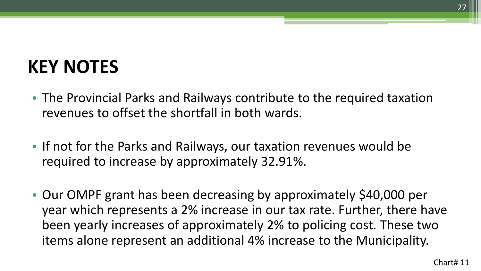# **KEY NOTES**

- The Provincial Parks and Railways contribute to the required taxation revenues to offset the shortfall in both wards.
- If not for the Parks and Railways, our taxation revenues would be required to increase by approximately 32.91%.
- Our OMPF grant has been decreasing by approximately \$40,000 per year which represents a 2% increase in our tax rate. Further, there have been yearly increases of approximately 2% to policing cost. These two items alone represent an additional 4% increase to the Municipality.

 $27$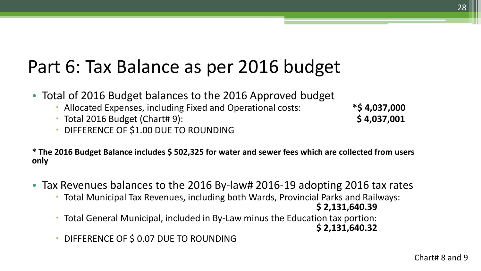# Part 6: Tax Balance as per 2016 budget

- Total of 2016 Budget balances to the 2016 Approved budget
	- Allocated Expenses, including Fixed and Operational costs: **\*\$ 4,037,000**
	- Total 2016 Budget (Chart# 9): **\$ 4,037,001**
	- **DIFFERENCE OF \$1.00 DUE TO ROUNDING**

 **\* The 2016 Budget Balance includes \$ 502,325 for water and sewer fees which are collected from users only** 

- Tax Revenues balances to the 2016 By-law# 2016-19 adopting 2016 tax rates
	- Total Municipal Tax Revenues, including both Wards, Provincial Parks and Railways:
	- **\$ 2,131,640.39** Total General Municipal, included in By-Law minus the Education tax portion: **\$ 2,131,640.32**
	- **DIFFERENCE OF \$ 0.07 DUE TO ROUNDING**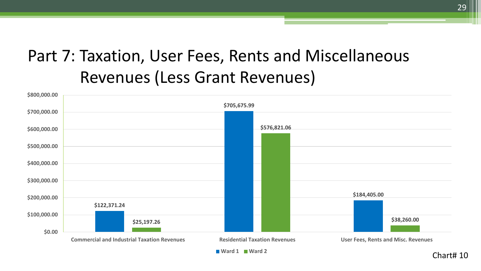#### Part 7: Taxation, User Fees, Rents and Miscellaneous Revenues (Less Grant Revenues)

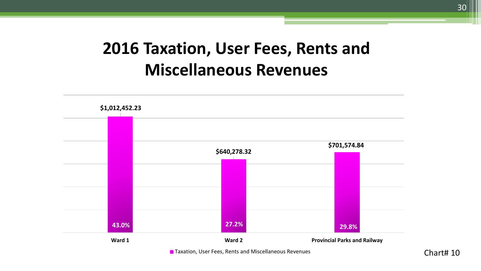#### **2016 Taxation, User Fees, Rents and Miscellaneous Revenues**

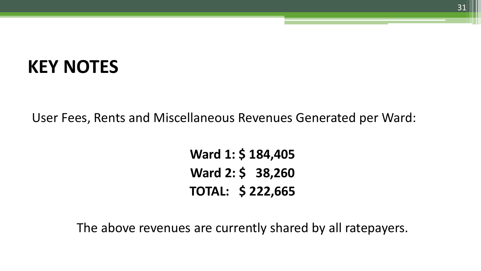#### **KEY NOTES**

User Fees, Rents and Miscellaneous Revenues Generated per Ward:

**Ward 1: \$ 184,405 Ward 2: \$ 38,260 TOTAL: \$ 222,665**

The above revenues are currently shared by all ratepayers.